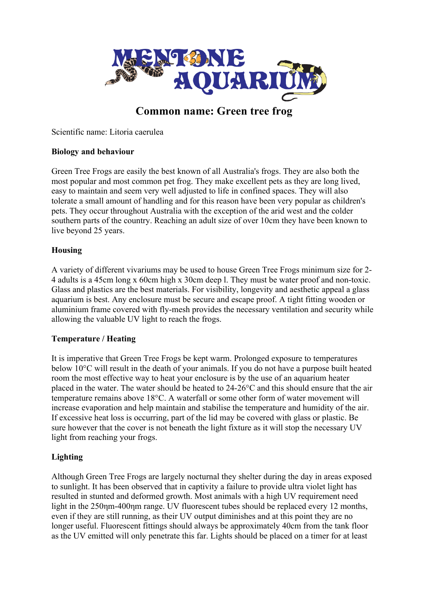

# **Common name: Green tree frog**

Scientific name: Litoria caerulea

### **Biology and behaviour**

Green Tree Frogs are easily the best known of all Australia's frogs. They are also both the most popular and most common pet frog. They make excellent pets as they are long lived, easy to maintain and seem very well adjusted to life in confined spaces. They will also tolerate a small amount of handling and for this reason have been very popular as children's pets. They occur throughout Australia with the exception of the arid west and the colder southern parts of the country. Reaching an adult size of over 10cm they have been known to live beyond 25 years.

#### **Housing**

A variety of different vivariums may be used to house Green Tree Frogs minimum size for 2- 4 adults is a 45cm long x 60cm high x 30cm deep l. They must be water proof and non-toxic. Glass and plastics are the best materials. For visibility, longevity and aesthetic appeal a glass aquarium is best. Any enclosure must be secure and escape proof. A tight fitting wooden or aluminium frame covered with fly-mesh provides the necessary ventilation and security while allowing the valuable UV light to reach the frogs.

#### **Temperature / Heating**

It is imperative that Green Tree Frogs be kept warm. Prolonged exposure to temperatures below 10°C will result in the death of your animals. If you do not have a purpose built heated room the most effective way to heat your enclosure is by the use of an aquarium heater placed in the water. The water should be heated to 24-26°C and this should ensure that the air temperature remains above 18°C. A waterfall or some other form of water movement will increase evaporation and help maintain and stabilise the temperature and humidity of the air. If excessive heat loss is occurring, part of the lid may be covered with glass or plastic. Be sure however that the cover is not beneath the light fixture as it will stop the necessary UV light from reaching your frogs.

### **Lighting**

Although Green Tree Frogs are largely nocturnal they shelter during the day in areas exposed to sunlight. It has been observed that in captivity a failure to provide ultra violet light has resulted in stunted and deformed growth. Most animals with a high UV requirement need light in the 250 nm-400 nm range. UV fluorescent tubes should be replaced every 12 months, even if they are still running, as their UV output diminishes and at this point they are no longer useful. Fluorescent fittings should always be approximately 40cm from the tank floor as the UV emitted will only penetrate this far. Lights should be placed on a timer for at least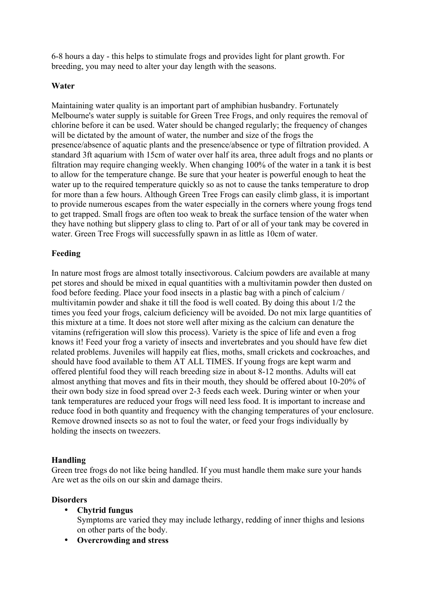6-8 hours a day - this helps to stimulate frogs and provides light for plant growth. For breeding, you may need to alter your day length with the seasons.

#### **Water**

Maintaining water quality is an important part of amphibian husbandry. Fortunately Melbourne's water supply is suitable for Green Tree Frogs, and only requires the removal of chlorine before it can be used. Water should be changed regularly; the frequency of changes will be dictated by the amount of water, the number and size of the frogs the presence/absence of aquatic plants and the presence/absence or type of filtration provided. A standard 3ft aquarium with 15cm of water over half its area, three adult frogs and no plants or filtration may require changing weekly. When changing 100% of the water in a tank it is best to allow for the temperature change. Be sure that your heater is powerful enough to heat the water up to the required temperature quickly so as not to cause the tanks temperature to drop for more than a few hours. Although Green Tree Frogs can easily climb glass, it is important to provide numerous escapes from the water especially in the corners where young frogs tend to get trapped. Small frogs are often too weak to break the surface tension of the water when they have nothing but slippery glass to cling to. Part of or all of your tank may be covered in water. Green Tree Frogs will successfully spawn in as little as 10cm of water.

### **Feeding**

In nature most frogs are almost totally insectivorous. Calcium powders are available at many pet stores and should be mixed in equal quantities with a multivitamin powder then dusted on food before feeding. Place your food insects in a plastic bag with a pinch of calcium / multivitamin powder and shake it till the food is well coated. By doing this about 1/2 the times you feed your frogs, calcium deficiency will be avoided. Do not mix large quantities of this mixture at a time. It does not store well after mixing as the calcium can denature the vitamins (refrigeration will slow this process). Variety is the spice of life and even a frog knows it! Feed your frog a variety of insects and invertebrates and you should have few diet related problems. Juveniles will happily eat flies, moths, small crickets and cockroaches, and should have food available to them AT ALL TIMES. If young frogs are kept warm and offered plentiful food they will reach breeding size in about 8-12 months. Adults will eat almost anything that moves and fits in their mouth, they should be offered about 10-20% of their own body size in food spread over 2-3 feeds each week. During winter or when your tank temperatures are reduced your frogs will need less food. It is important to increase and reduce food in both quantity and frequency with the changing temperatures of your enclosure. Remove drowned insects so as not to foul the water, or feed your frogs individually by holding the insects on tweezers.

### **Handling**

Green tree frogs do not like being handled. If you must handle them make sure your hands Are wet as the oils on our skin and damage theirs.

### **Disorders**

• **Chytrid fungus**

Symptoms are varied they may include lethargy, redding of inner thighs and lesions on other parts of the body.

• **Overcrowding and stress**